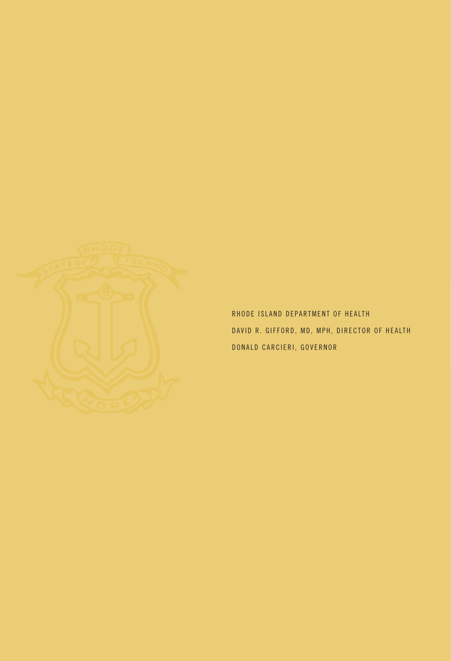

RHODE ISLAND DEPARTMENT OF HEALTH DAVID R. GIFFORD, MD, MPH, DIRECTOR OF HEALTH DONALD CARCIERI, GOVERNOR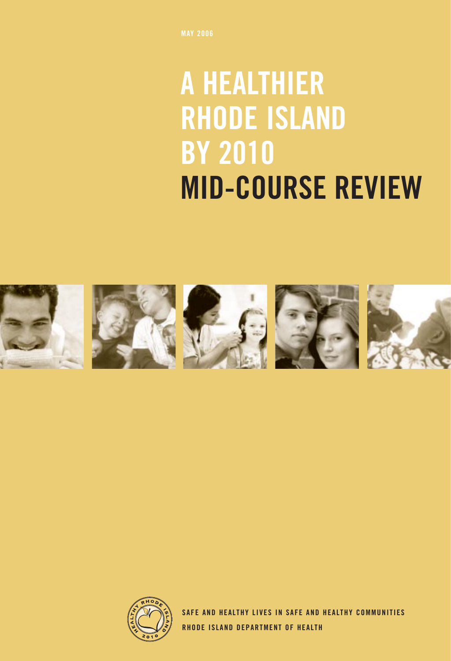# **A HEALTHIER RHODE ISLAND BY 2010 MID-COURSE REVIEW**





**SAFE AND HEALTHY LIVES IN SAFE AND HEALTHY COMMUNITIES RHODE ISLAND DEPARTMENT OF HEALTH**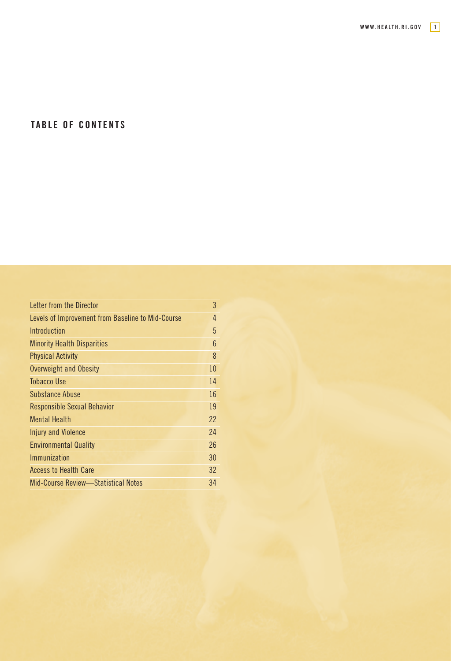## **T ABLE OF CONTENTS**

| Letter from the Director                          | 3  |
|---------------------------------------------------|----|
| Levels of Improvement from Baseline to Mid-Course | 4  |
| Introduction                                      | 5  |
| <b>Minority Health Disparities</b>                | 6  |
| <b>Physical Activity</b>                          | 8  |
| Overweight and Obesity                            | 10 |
| <b>Tobacco Use</b>                                | 14 |
| <b>Substance Abuse</b>                            | 16 |
| <b>Responsible Sexual Behavior</b>                | 19 |
| <b>Mental Health</b>                              | 22 |
| <b>Injury and Violence</b>                        | 24 |
| <b>Environmental Quality</b>                      | 26 |
| Immunization                                      | 30 |
| <b>Access to Health Care</b>                      | 32 |
| Mid-Course Review-Statistical Notes               | 34 |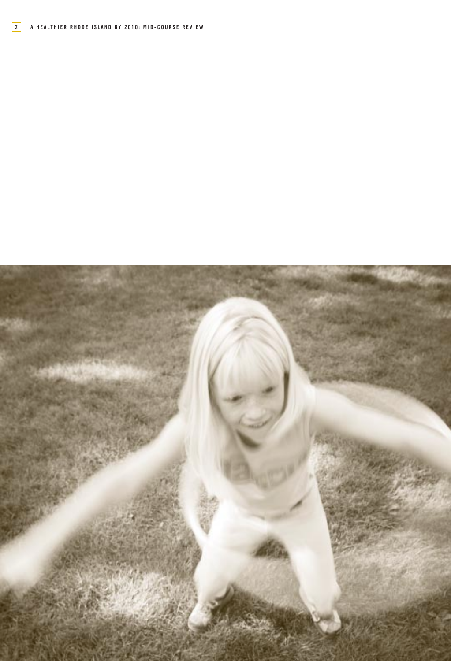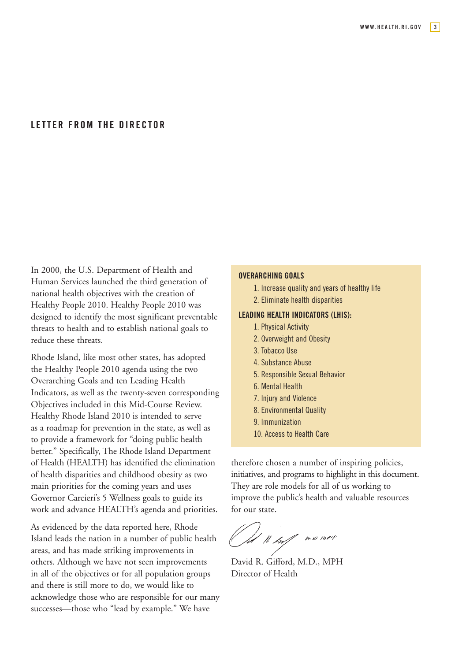### **LETTER FROM THE DIRECTOR**

In 2000, the U.S. Department of Health and Human Services launched the third generation of national health objectives with the creation of Healthy People 2010. Healthy People 2010 was designed to identify the most significant preventable threats to health and to establish national goals to reduce these threats.

Rhode Island, like most other states, has adopted the Healthy People 2010 agenda using the two Overarching Goals and ten Leading Health Indicators, as well as the twenty-seven corresponding Objectives included in this Mid-Course Review. Healthy Rhode Island 2010 is intended to serve as a roadmap for prevention in the state, as well as to provide a framework for "doing public health better." Specifically, The Rhode Island Department of Health (HEALTH) has identified the elimination of health disparities and childhood obesity as two main priorities for the coming years and uses Governor Carcieri's 5 Wellness goals to guide its work and advance HEALTH's agenda and priorities.

As evidenced by the data reported here, Rhode Island leads the nation in a number of public health areas, and has made striking improvements in others. Although we have not seen improvements in all of the objectives or for all population groups and there is still more to do, we would like to acknowledge those who are responsible for our many successes—those who "lead by example." We have

#### **OVERARCHING GOALS**

- 1. Increase quality and years of healthy life
- 2. Eliminate health disparities

#### **LEADING HEALTH INDICATORS (LHIS):**

- 1. Physical Activity
- 2. Overweight and Obesity
- 3. Tobacco Use
- 4. Substance Abuse
- 5. Responsible Sexual Behavior
- 6. Mental Health
- 7. Injury and Violence
- 8. Environmental Quality
- 9. Immunization
- 10. Access to Health Care

therefore chosen a number of inspiring policies, initiatives, and programs to highlight in this document. They are role models for all of us working to improve the public's health and valuable resources for our state.

Il n m/ moment

David R. Gifford, M.D., MPH Director of Health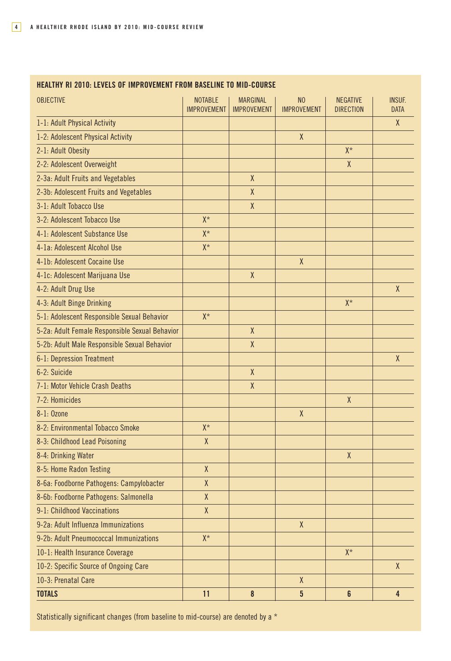### **HEALTHY RI 2010: LEVELS OF IMPROVEMENT FROM BASELINE TO MID-COURSE**

| <b>OBJECTIVE</b>                               | <b>NOTABLE</b><br><b>IMPROVEMENT</b> | <b>MARGINAL</b><br><b>IMPROVEMENT</b> | N <sub>0</sub><br><b>IMPROVEMENT</b> | <b>NEGATIVE</b><br><b>DIRECTION</b> | <b>INSUF.</b><br><b>DATA</b> |
|------------------------------------------------|--------------------------------------|---------------------------------------|--------------------------------------|-------------------------------------|------------------------------|
| 1-1: Adult Physical Activity                   |                                      |                                       |                                      |                                     | $\chi$                       |
| 1-2: Adolescent Physical Activity              |                                      |                                       | $\chi$                               |                                     |                              |
| 2-1: Adult Obesity                             |                                      |                                       |                                      | $X^*$                               |                              |
| 2-2: Adolescent Overweight                     |                                      |                                       |                                      | $\pmb{\chi}$                        |                              |
| 2-3a: Adult Fruits and Vegetables              |                                      | $\mathsf{X}$                          |                                      |                                     |                              |
| 2-3b: Adolescent Fruits and Vegetables         |                                      | $\mathsf{X}$                          |                                      |                                     |                              |
| 3-1: Adult Tobacco Use                         |                                      | $\mathsf{X}$                          |                                      |                                     |                              |
| 3-2: Adolescent Tobacco Use                    | $X^*$                                |                                       |                                      |                                     |                              |
| 4-1: Adolescent Substance Use                  | $X^*$                                |                                       |                                      |                                     |                              |
| 4-1a: Adolescent Alcohol Use                   | $X^*$                                |                                       |                                      |                                     |                              |
| 4-1b: Adolescent Cocaine Use                   |                                      |                                       | $\pmb{\chi}$                         |                                     |                              |
| 4-1c: Adolescent Marijuana Use                 |                                      | $\mathsf{X}$                          |                                      |                                     |                              |
| 4-2: Adult Drug Use                            |                                      |                                       |                                      |                                     | $\pmb{\chi}$                 |
| 4-3: Adult Binge Drinking                      |                                      |                                       |                                      | $X^*$                               |                              |
| 5-1: Adolescent Responsible Sexual Behavior    | $X^*$                                |                                       |                                      |                                     |                              |
| 5-2a: Adult Female Responsible Sexual Behavior |                                      | $\pmb{\chi}$                          |                                      |                                     |                              |
| 5-2b: Adult Male Responsible Sexual Behavior   |                                      | $\pmb{\chi}$                          |                                      |                                     |                              |
| 6-1: Depression Treatment                      |                                      |                                       |                                      |                                     | $\mathsf{X}$                 |
| 6-2: Suicide                                   |                                      | $\pmb{\chi}$                          |                                      |                                     |                              |
| 7-1: Motor Vehicle Crash Deaths                |                                      | $\mathsf{X}$                          |                                      |                                     |                              |
| 7-2: Homicides                                 |                                      |                                       |                                      | $\pmb{\chi}$                        |                              |
| 8-1: Ozone                                     |                                      |                                       | $\mathsf{X}$                         |                                     |                              |
| 8-2: Environmental Tobacco Smoke               | $X^*$                                |                                       |                                      |                                     |                              |
| 8-3: Childhood Lead Poisoning                  | $\mathsf{X}$                         |                                       |                                      |                                     |                              |
| 8-4: Drinking Water                            |                                      |                                       |                                      | $\pmb{\chi}$                        |                              |
| 8-5: Home Radon Testing                        | $\pmb{\mathsf{X}}$                   |                                       |                                      |                                     |                              |
| 8-6a: Foodborne Pathogens: Campylobacter       | $\mathsf{X}$                         |                                       |                                      |                                     |                              |
| 8-6b: Foodborne Pathogens: Salmonella          | $\pmb{\chi}$                         |                                       |                                      |                                     |                              |
| 9-1: Childhood Vaccinations                    | $\pmb{\chi}$                         |                                       |                                      |                                     |                              |
| 9-2a: Adult Influenza Immunizations            |                                      |                                       | $\pmb{\chi}$                         |                                     |                              |
| 9-2b: Adult Pneumococcal Immunizations         | $X^*$                                |                                       |                                      |                                     |                              |
| 10-1: Health Insurance Coverage                |                                      |                                       |                                      | $X^*$                               |                              |
| 10-2: Specific Source of Ongoing Care          |                                      |                                       |                                      |                                     | $\pmb{\chi}$                 |
| 10-3: Prenatal Care                            |                                      |                                       | $\mathsf{X}$                         |                                     |                              |
| <b>TOTALS</b>                                  | 11                                   | $\boldsymbol{8}$                      | 5                                    | 6                                   | 4                            |

Statistically significant changes (from baseline to mid-course) are denoted by a \*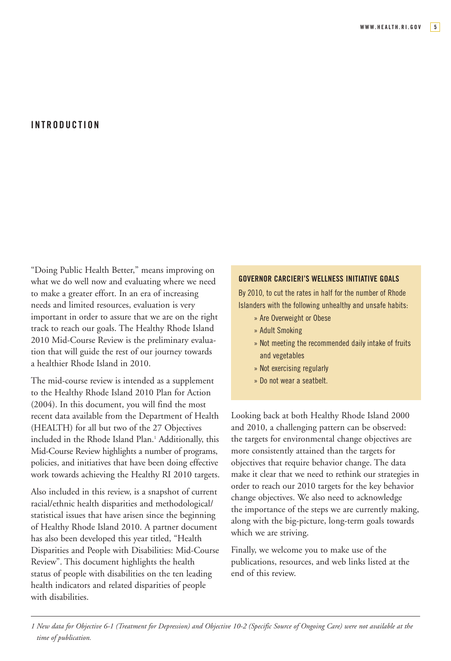## **INTRODUCTION**

"Doing Public Health Better," means improving on what we do well now and evaluating where we need to make a greater effort. In an era of increasing needs and limited resources, evaluation is very important in order to assure that we are on the right track to reach our goals. The Healthy Rhode Island 2010 Mid-Course Review is the preliminary evaluation that will guide the rest of our journey towards a healthier Rhode Island in 2010.

The mid-course review is intended as a supplement to the Healthy Rhode Island 2010 Plan for Action (2004). In this document, you will find the most recent data available from the Department of Health (HEALTH) for all but two of the 27 Objectives included in the Rhode Island Plan.<sup>1</sup> Additionally, this Mid-Course Review highlights a number of programs, policies, and initiatives that have been doing effective work towards achieving the Healthy RI 2010 targets.

Also included in this review, is a snapshot of current racial/ethnic health disparities and methodological/ statistical issues that have arisen since the beginning of Healthy Rhode Island 2010. A partner document has also been developed this year titled, "Health Disparities and People with Disabilities: Mid-Course Review". This document highlights the health status of people with disabilities on the ten leading health indicators and related disparities of people with disabilities.

#### **GOVERNOR CARCIERI'S WELLNESS INITIATIVE GOALS**

By 2010, to cut the rates in half for the number of Rhode Islanders with the following unhealthy and unsafe habits:

- » Are Overweight or Obese
- » Adult Smoking
- » Not meeting the recommended daily intake of fruits and vegetables
- » Not exercising regularly
- » Do not wear a seatbelt.

Looking back at both Healthy Rhode Island 2000 and 2010, a challenging pattern can be observed: the targets for environmental change objectives are more consistently attained than the targets for objectives that require behavior change. The data make it clear that we need to rethink our strategies in order to reach our 2010 targets for the key behavior change objectives. We also need to acknowledge the importance of the steps we are currently making, along with the big-picture, long-term goals towards which we are striving.

Finally, we welcome you to make use of the publications, resources, and web links listed at the end of this review.

*1 New data for Objective 6-1 (Treatment for Depression) and Objective 10-2 (Specific Source of Ongoing Care) were not available at the time of publication.*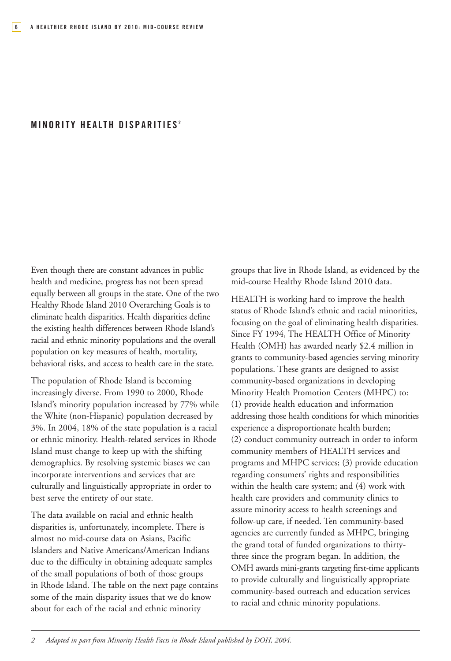### **MINORITY HEALTH DISPARITIES <sup>2</sup>**

Even though there are constant advances in public health and medicine, progress has not been spread equally between all groups in the state. One of the two Healthy Rhode Island 2010 Overarching Goals is to eliminate health disparities. Health disparities define the existing health differences between Rhode Island's racial and ethnic minority populations and the overall population on key measures of health, mortality, behavioral risks, and access to health care in the state.

The population of Rhode Island is becoming increasingly diverse. From 1990 to 2000, Rhode Island's minority population increased by 77% while the White (non-Hispanic) population decreased by 3%. In 2004, 18% of the state population is a racial or ethnic minority. Health-related services in Rhode Island must change to keep up with the shifting demographics. By resolving systemic biases we can incorporate interventions and services that are culturally and linguistically appropriate in order to best serve the entirety of our state.

The data available on racial and ethnic health disparities is, unfortunately, incomplete. There is almost no mid-course data on Asians, Pacific Islanders and Native Americans/American Indians due to the difficulty in obtaining adequate samples of the small populations of both of those groups in Rhode Island. The table on the next page contains some of the main disparity issues that we do know about for each of the racial and ethnic minority

groups that live in Rhode Island, as evidenced by the mid-course Healthy Rhode Island 2010 data.

HEALTH is working hard to improve the health status of Rhode Island's ethnic and racial minorities, focusing on the goal of eliminating health disparities. Since FY 1994, The HEALTH Office of Minority Health (OMH) has awarded nearly \$2.4 million in grants to community-based agencies serving minority populations. These grants are designed to assist community-based organizations in developing Minority Health Promotion Centers (MHPC) to: (1) provide health education and information addressing those health conditions for which minorities experience a disproportionate health burden; (2) conduct community outreach in order to inform community members of HEALTH services and programs and MHPC services; (3) provide education regarding consumers' rights and responsibilities within the health care system; and (4) work with health care providers and community clinics to assure minority access to health screenings and follow-up care, if needed. Ten community-based agencies are currently funded as MHPC, bringing the grand total of funded organizations to thirtythree since the program began. In addition, the OMH awards mini-grants targeting first-time applicants to provide culturally and linguistically appropriate community-based outreach and education services to racial and ethnic minority populations.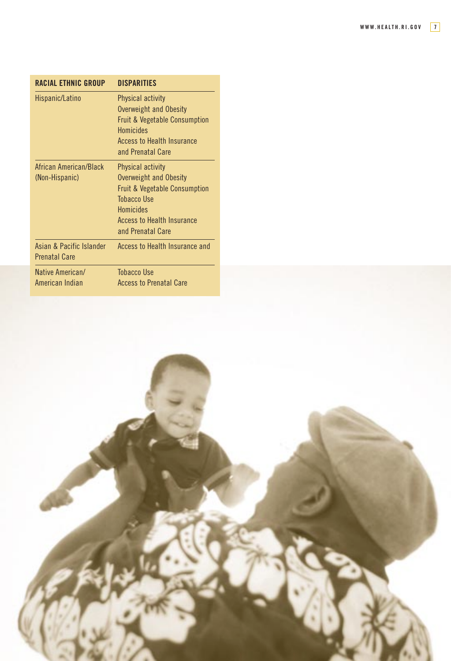| RACIAL ETHNIC GROUP                              | DISPARITIES                                                                                                                                                                          |
|--------------------------------------------------|--------------------------------------------------------------------------------------------------------------------------------------------------------------------------------------|
| Hispanic/Latino                                  | Physical activity<br>Overweight and Obesity<br><b>Fruit &amp; Vegetable Consumption</b><br><b>Homicides</b><br>Access to Health Insurance<br>and Prenatal Care                       |
| African American/Black<br>(Non-Hispanic)         | Physical activity<br>Overweight and Obesity<br><b>Fruit &amp; Vegetable Consumption</b><br><b>Tobacco Use</b><br><b>Homicides</b><br>Access to Health Insurance<br>and Prenatal Care |
| Asian & Pacific Islander<br><b>Prenatal Care</b> | Access to Health Insurance and                                                                                                                                                       |
| Native American/<br>American Indian              | <b>Tobacco Use</b><br><b>Access to Prenatal Care</b>                                                                                                                                 |

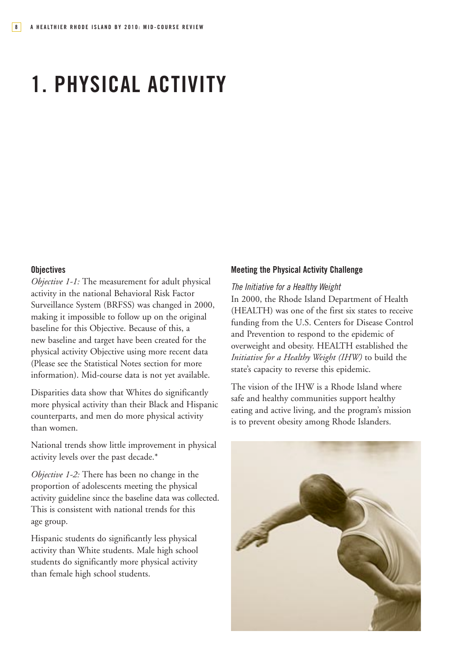## **1. PHYSICAL ACTIVITY**

#### **Objectives**

*Objective 1-1:* The measurement for adult physical activity in the national Behavioral Risk Factor Surveillance System (BRFSS) was changed in 2000, making it impossible to follow up on the original baseline for this Objective. Because of this, a new baseline and target have been created for the physical activity Objective using more recent data (Please see the Statistical Notes section for more information). Mid-course data is not yet available.

Disparities data show that Whites do significantly more physical activity than their Black and Hispanic counterparts, and men do more physical activity than women.

National trends show little improvement in physical activity levels over the past decade.\*

*Objective 1-2:* There has been no change in the proportion of adolescents meeting the physical activity guideline since the baseline data was collected. This is consistent with national trends for this age group.

Hispanic students do significantly less physical activity than White students. Male high school students do significantly more physical activity than female high school students.

#### **Meeting the Physical Activity Challenge**

*The Initiative for a Healthy Weight* 

In 2000, the Rhode Island Department of Health (HEALTH) was one of the first six states to receive funding from the U.S. Centers for Disease Control and Prevention to respond to the epidemic of overweight and obesity. HEALTH established the *Initiative for a Healthy Weight (IHW)* to build the state's capacity to reverse this epidemic.

The vision of the IHW is a Rhode Island where safe and healthy communities support healthy eating and active living, and the program's mission is to prevent obesity among Rhode Islanders.

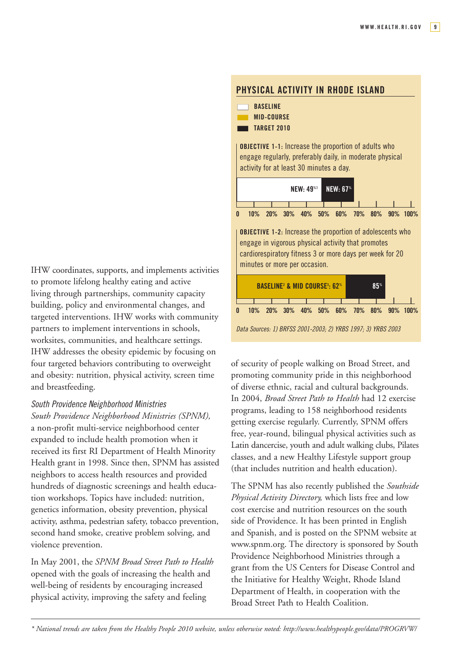IHW coordinates, supports, and implements activities to promote lifelong healthy eating and active living through partnerships, community capacity building, policy and environmental changes, and targeted interventions. IHW works with community partners to implement interventions in schools, worksites, communities, and healthcare settings. IHW addresses the obesity epidemic by focusing on four targeted behaviors contributing to overweight and obesity: nutrition, physical activity, screen time and breastfeeding.

## *South Providence Neighborhood Ministries*

*South Providence Neighborhood Ministries (SPNM),* a non-profit multi-service neighborhood center expanded to include health promotion when it received its first RI Department of Health Minority Health grant in 1998. Since then, SPNM has assisted neighbors to access health resources and provided hundreds of diagnostic screenings and health education workshops. Topics have included: nutrition, genetics information, obesity prevention, physical activity, asthma, pedestrian safety, tobacco prevention, second hand smoke, creative problem solving, and violence prevention.

In May 2001, the *SPNM Broad Street Path to Health* opened with the goals of increasing the health and well-being of residents by encouraging increased physical activity, improving the safety and feeling

## **PHYSICAL ACTIVITY IN RHODE ISLAND**

| <b>BASELINE</b>               |
|-------------------------------|
| <b>MID-COURSE</b>             |
| <b>TARGET 2010</b>            |
| OBJECTIVE 1-1: Increase the p |

proportion of adults who engage regularly, preferably daily, in moderate physical activity for at least 30 minutes a day.



of security of people walking on Broad Street, and promoting community pride in this neighborhood of diverse ethnic, racial and cultural backgrounds. In 2004, *Broad Street Path to Health* had 12 exercise programs, leading to 158 neighborhood residents getting exercise regularly. Currently, SPNM offers free, year-round, bilingual physical activities such as Latin dancercise, youth and adult walking clubs, Pilates classes, and a new Healthy Lifestyle support group (that includes nutrition and health education).

The SPNM has also recently published the *Southside Physical Activity Directory,* which lists free and low cost exercise and nutrition resources on the south side of Providence. It has been printed in English and Spanish, and is posted on the SPNM website at www.spnm.org. The directory is sponsored by South Providence Neighborhood Ministries through a grant from the US Centers for Disease Control and the Initiative for Healthy Weight, Rhode Island Department of Health, in cooperation with the Broad Street Path to Health Coalition.

*\* National trends are taken from the Healthy People 2010 website, unless otherwise noted: http://www.healthypeople.gov/data/PROGRVW/*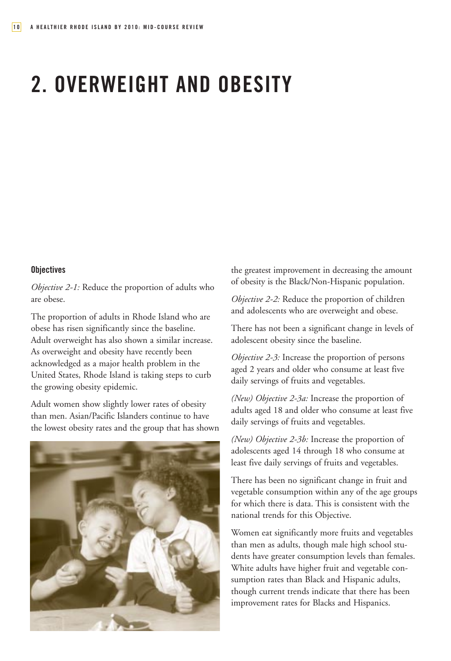## **2. OVERWEIGHT AND OBESITY**

#### **Objectives**

*Objective 2-1:* Reduce the proportion of adults who are obese.

The proportion of adults in Rhode Island who are obese has risen significantly since the baseline. Adult overweight has also shown a similar increase. As overweight and obesity have recently been acknowledged as a major health problem in the United States, Rhode Island is taking steps to curb the growing obesity epidemic.

Adult women show slightly lower rates of obesity than men. Asian/Pacific Islanders continue to have the lowest obesity rates and the group that has shown



the greatest improvement in decreasing the amount of obesity is the Black/Non-Hispanic population.

*Objective 2-2:* Reduce the proportion of children and adolescents who are overweight and obese.

There has not been a significant change in levels of adolescent obesity since the baseline.

*Objective 2-3:* Increase the proportion of persons aged 2 years and older who consume at least five daily servings of fruits and vegetables.

*(New) Objective 2-3a:* Increase the proportion of adults aged 18 and older who consume at least five daily servings of fruits and vegetables.

*(New) Objective 2-3b:* Increase the proportion of adolescents aged 14 through 18 who consume at least five daily servings of fruits and vegetables.

There has been no significant change in fruit and vegetable consumption within any of the age groups for which there is data. This is consistent with the national trends for this Objective.

Women eat significantly more fruits and vegetables than men as adults, though male high school students have greater consumption levels than females. White adults have higher fruit and vegetable consumption rates than Black and Hispanic adults, though current trends indicate that there has been improvement rates for Blacks and Hispanics.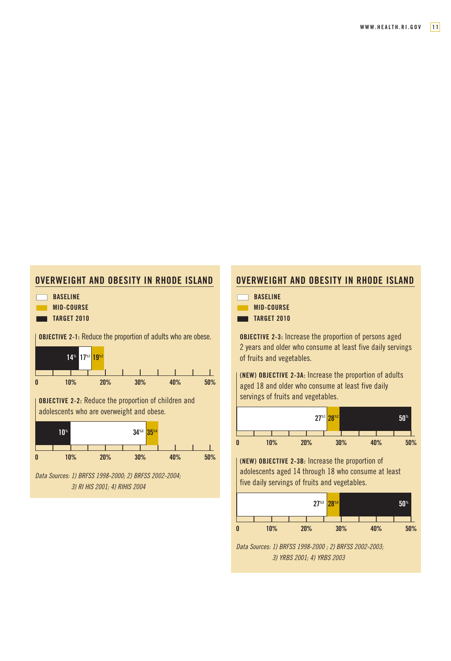### **OVERWEIGHT AND OBESITY IN RHODE ISLAND**



- **MID-COURSE**
- **TARGET 2010**



## **OVERWEIGHT AND OBESITY IN RHODE ISLAND**

- **BASELINE**
- **MID-COURSE**
- **TARGET 2010**

**OBJECTIVE 2-3:** Increase the proportion of persons aged 2 years and older who consume at least five daily servings of fruits and vegetables.

**(NEW) OBJECTIVE 2-3A:** Increase the proportion of adults aged 18 and older who consume at least five daily servings of fruits and vegetables.



**(NEW) OBJECTIVE 2-3B:** Increase the proportion of adolescents aged 14 through 18 who consume at least five daily servings of fruits and vegetables.



*Data Sources: 1) BRFSS 1998-2000 ; 2) BRFSS 2002-2003; 3) YRBS 2001; 4) YRBS 2003*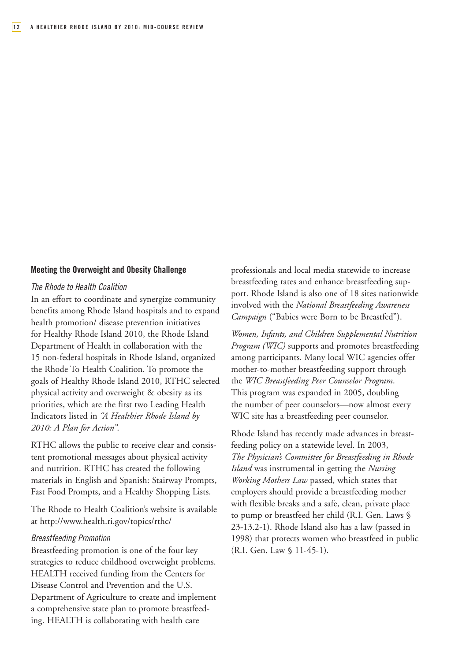#### **Meeting the Overweight and Obesity Challenge**

#### *The Rhode to Health Coalition*

In an effort to coordinate and synergize community benefits among Rhode Island hospitals and to expand health promotion/ disease prevention initiatives for Healthy Rhode Island 2010, the Rhode Island Department of Health in collaboration with the 15 non-federal hospitals in Rhode Island, organized the Rhode To Health Coalition. To promote the goals of Healthy Rhode Island 2010, RTHC selected physical activity and overweight & obesity as its priorities, which are the first two Leading Health Indicators listed in *"A Healthier Rhode Island by 2010: A Plan for Action"*.

RTHC allows the public to receive clear and consistent promotional messages about physical activity and nutrition. RTHC has created the following materials in English and Spanish: Stairway Prompts, Fast Food Prompts, and a Healthy Shopping Lists.

The Rhode to Health Coalition's website is available at http://www.health.ri.gov/topics/rthc/

#### *Breastfeeding Promotion*

Breastfeeding promotion is one of the four key strategies to reduce childhood overweight problems. HEALTH received funding from the Centers for Disease Control and Prevention and the U.S. Department of Agriculture to create and implement a comprehensive state plan to promote breastfeeding. HEALTH is collaborating with health care

professionals and local media statewide to increase breastfeeding rates and enhance breastfeeding support. Rhode Island is also one of 18 sites nationwide involved with the *National Breastfeeding Awareness Campaign* ("Babies were Born to be Breastfed").

*Women, Infants, and Children Supplemental Nutrition Program (WIC)* supports and promotes breastfeeding among participants. Many local WIC agencies offer mother-to-mother breastfeeding support through the *WIC Breastfeeding Peer Counselor Program*. This program was expanded in 2005, doubling the number of peer counselors—now almost every WIC site has a breastfeeding peer counselor.

Rhode Island has recently made advances in breastfeeding policy on a statewide level. In 2003, *The Physician's Committee for Breastfeeding in Rhode Island* was instrumental in getting the *Nursing Working Mothers Law* passed, which states that employers should provide a breastfeeding mother with flexible breaks and a safe, clean, private place to pump or breastfeed her child (R.I. Gen. Laws § 23-13.2-1). Rhode Island also has a law (passed in 1998) that protects women who breastfeed in public (R.I. Gen. Law § 11-45-1).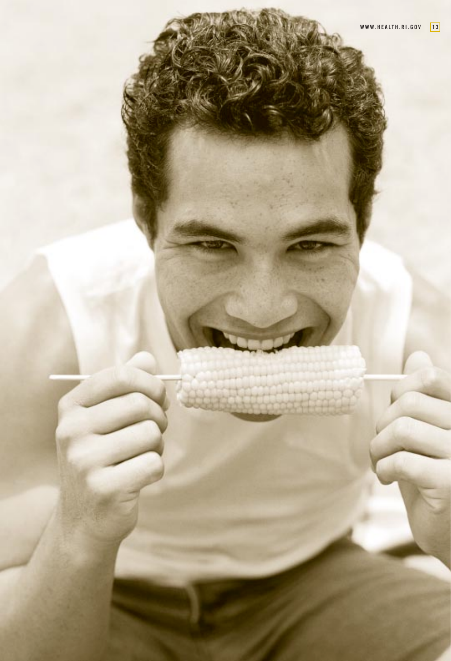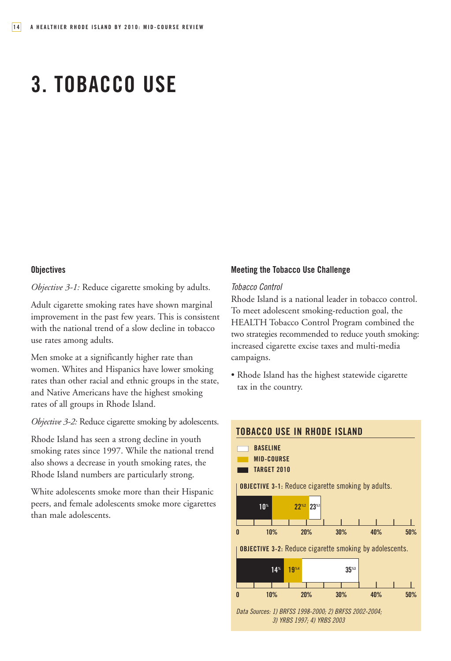## **3. TOBACCO USE**

#### **Objectives**

*Objective 3-1:* Reduce cigarette smoking by adults.

Adult cigarette smoking rates have shown marginal improvement in the past few years. This is consistent with the national trend of a slow decline in tobacco use rates among adults.

Men smoke at a significantly higher rate than women. Whites and Hispanics have lower smoking rates than other racial and ethnic groups in the state, and Native Americans have the highest smoking rates of all groups in Rhode Island.

*Objective 3-2:* Reduce cigarette smoking by adolescents.

Rhode Island has seen a strong decline in youth smoking rates since 1997. While the national trend also shows a decrease in youth smoking rates, the Rhode Island numbers are particularly strong.

White adolescents smoke more than their Hispanic peers, and female adolescents smoke more cigarettes than male adolescents.

#### **Meeting the Tobacco Use Challenge**

### *Tobacco Control*

Rhode Island is a national leader in tobacco control. To meet adolescent smoking-reduction goal, the HEALTH Tobacco Control Program combined the two strategies recommended to reduce youth smoking: increased cigarette excise taxes and multi-media campaigns.

• Rhode Island has the highest statewide cigarette tax in the country.



*Data Sources: 1) BRFSS 1998-2000; 2) BRFSS 2002-2004; 3) YRBS 1997; 4) YRBS 2003*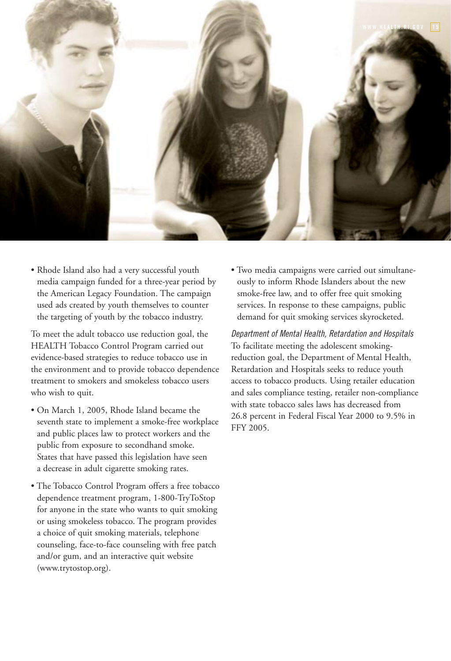

• Rhode Island also had a very successful youth media campaign funded for a three-year period by the American Legacy Foundation. The campaign used ads created by youth themselves to counter the targeting of youth by the tobacco industry.

To meet the adult tobacco use reduction goal, the HEALTH Tobacco Control Program carried out evidence-based strategies to reduce tobacco use in the environment and to provide tobacco dependence treatment to smokers and smokeless tobacco users who wish to quit.

- On March 1, 2005, Rhode Island became the seventh state to implement a smoke-free workplace and public places law to protect workers and the public from exposure to secondhand smoke. States that have passed this legislation have seen a decrease in adult cigarette smoking rates.
- The Tobacco Control Program offers a free tobacco dependence treatment program, 1-800-TryToStop for anyone in the state who wants to quit smoking or using smokeless tobacco. The program provides a choice of quit smoking materials, telephone counseling, face-to-face counseling with free patch and/or gum, and an interactive quit website (www.trytostop.org).

• Two media campaigns were carried out simultaneously to inform Rhode Islanders about the new smoke-free law, and to offer free quit smoking services. In response to these campaigns, public demand for quit smoking services skyrocketed.

*Department of Mental Health, Retardation and Hospitals* To facilitate meeting the adolescent smokingreduction goal, the Department of Mental Health, Retardation and Hospitals seeks to reduce youth access to tobacco products. Using retailer education and sales compliance testing, retailer non-compliance with state tobacco sales laws has decreased from 26.8 percent in Federal Fiscal Year 2000 to 9.5% in FFY 2005.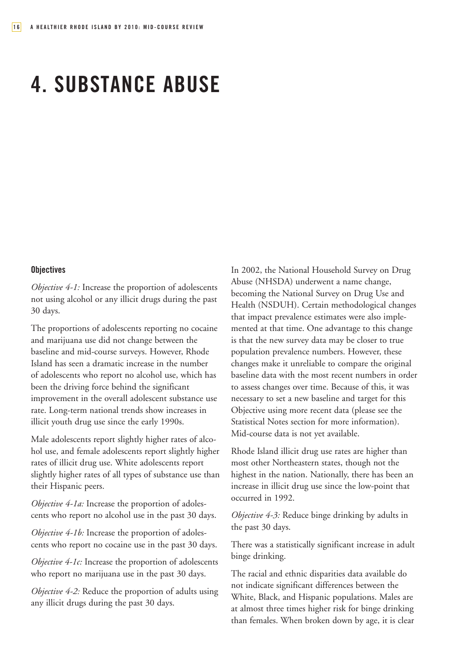## **4. SUBSTANCE ABUSE**

#### **Objectives**

*Objective 4-1:* Increase the proportion of adolescents not using alcohol or any illicit drugs during the past 30 days.

The proportions of adolescents reporting no cocaine and marijuana use did not change between the baseline and mid-course surveys. However, Rhode Island has seen a dramatic increase in the number of adolescents who report no alcohol use, which has been the driving force behind the significant improvement in the overall adolescent substance use rate. Long-term national trends show increases in illicit youth drug use since the early 1990s.

Male adolescents report slightly higher rates of alcohol use, and female adolescents report slightly higher rates of illicit drug use. White adolescents report slightly higher rates of all types of substance use than their Hispanic peers.

*Objective 4-1a:* Increase the proportion of adolescents who report no alcohol use in the past 30 days.

*Objective 4-1b:* Increase the proportion of adolescents who report no cocaine use in the past 30 days.

*Objective 4-1c:* Increase the proportion of adolescents who report no marijuana use in the past 30 days.

*Objective 4-2:* Reduce the proportion of adults using any illicit drugs during the past 30 days.

In 2002, the National Household Survey on Drug Abuse (NHSDA) underwent a name change, becoming the National Survey on Drug Use and Health (NSDUH). Certain methodological changes that impact prevalence estimates were also implemented at that time. One advantage to this change is that the new survey data may be closer to true population prevalence numbers. However, these changes make it unreliable to compare the original baseline data with the most recent numbers in order to assess changes over time. Because of this, it was necessary to set a new baseline and target for this Objective using more recent data (please see the Statistical Notes section for more information). Mid-course data is not yet available.

Rhode Island illicit drug use rates are higher than most other Northeastern states, though not the highest in the nation. Nationally, there has been an increase in illicit drug use since the low-point that occurred in 1992.

*Objective 4-3:* Reduce binge drinking by adults in the past 30 days.

There was a statistically significant increase in adult binge drinking.

The racial and ethnic disparities data available do not indicate significant differences between the White, Black, and Hispanic populations. Males are at almost three times higher risk for binge drinking than females. When broken down by age, it is clear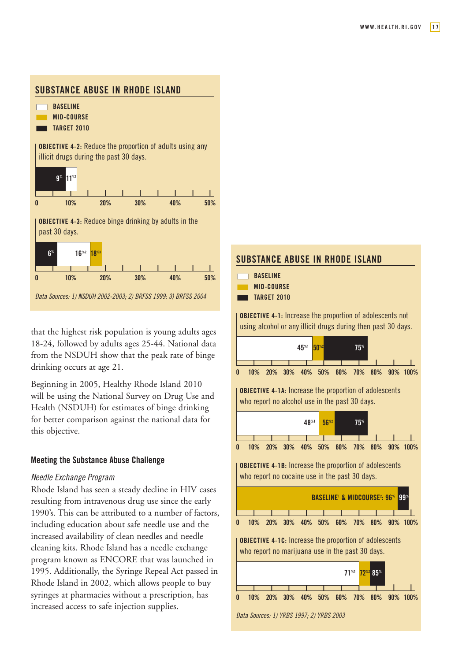

that the highest risk population is young adults ages 18-24, followed by adults ages 25-44. National data from the NSDUH show that the peak rate of binge drinking occurs at age 21.

Beginning in 2005, Healthy Rhode Island 2010 will be using the National Survey on Drug Use and Health (NSDUH) for estimates of binge drinking for better comparison against the national data for this objective.

#### **Meeting the Substance Abuse Challenge**

#### *Needle Exchange Program*

Rhode Island has seen a steady decline in HIV cases resulting from intravenous drug use since the early 1990's. This can be attributed to a number of factors, including education about safe needle use and the increased availability of clean needles and needle cleaning kits. Rhode Island has a needle exchange program known as ENCORE that was launched in 1995. Additionally, the Syringe Repeal Act passed in Rhode Island in 2002, which allows people to buy syringes at pharmacies without a prescription, has increased access to safe injection supplies.

### **SUBSTANCE ABUSE IN RHODE ISLAND**

| <b>BASELINE</b> |
|-----------------|

|  | MID-COURSE |  |  |  |
|--|------------|--|--|--|

■ **TARGET 2010**

**OBJECTIVE 4-1:** Increase the proportion of adolescents not using alcohol or any illicit drugs during then past 30 days.



*Data Sources: 1) YRBS 1997; 2) YRBS 2003*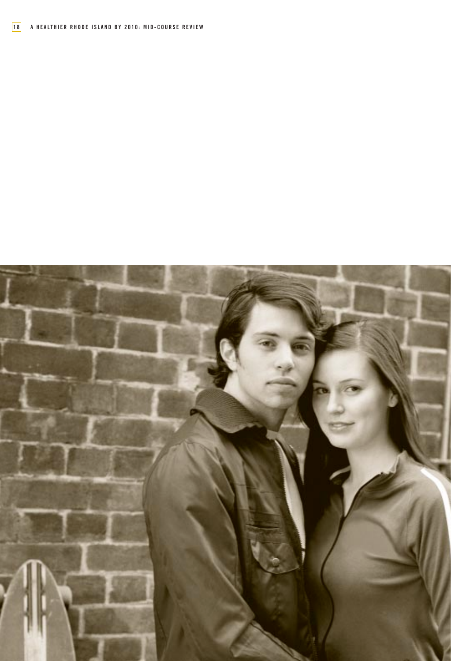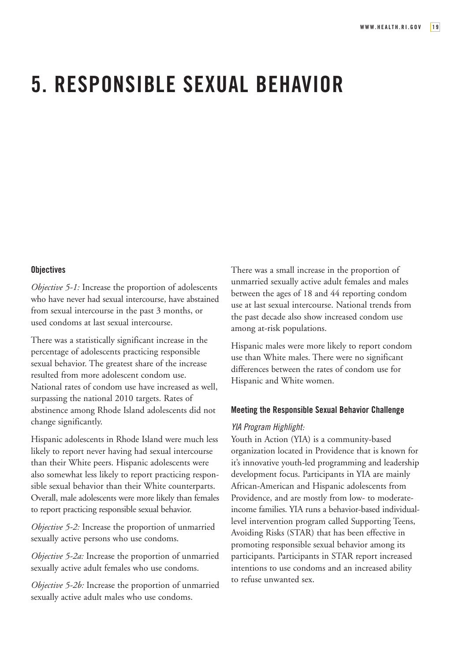## **5. RESPONSIBLE SEXUAL BEHAVIOR**

#### **Objectives**

*Objective 5-1:* Increase the proportion of adolescents who have never had sexual intercourse, have abstained from sexual intercourse in the past 3 months, or used condoms at last sexual intercourse.

There was a statistically significant increase in the percentage of adolescents practicing responsible sexual behavior. The greatest share of the increase resulted from more adolescent condom use. National rates of condom use have increased as well, surpassing the national 2010 targets. Rates of abstinence among Rhode Island adolescents did not change significantly.

Hispanic adolescents in Rhode Island were much less likely to report never having had sexual intercourse than their White peers. Hispanic adolescents were also somewhat less likely to report practicing responsible sexual behavior than their White counterparts. Overall, male adolescents were more likely than females to report practicing responsible sexual behavior.

*Objective 5-2:* Increase the proportion of unmarried sexually active persons who use condoms.

*Objective 5-2a:* Increase the proportion of unmarried sexually active adult females who use condoms.

*Objective 5-2b:* Increase the proportion of unmarried sexually active adult males who use condoms.

There was a small increase in the proportion of unmarried sexually active adult females and males between the ages of 18 and 44 reporting condom use at last sexual intercourse. National trends from the past decade also show increased condom use among at-risk populations.

Hispanic males were more likely to report condom use than White males. There were no significant differences between the rates of condom use for Hispanic and White women.

#### **Meeting the Responsible Sexual Behavior Challenge**

#### *YIA Program Highlight:*

Youth in Action (YIA) is a community-based organization located in Providence that is known for it's innovative youth-led programming and leadership development focus. Participants in YIA are mainly African-American and Hispanic adolescents from Providence, and are mostly from low- to moderateincome families. YIA runs a behavior-based individuallevel intervention program called Supporting Teens, Avoiding Risks (STAR) that has been effective in promoting responsible sexual behavior among its participants. Participants in STAR report increased intentions to use condoms and an increased ability to refuse unwanted sex.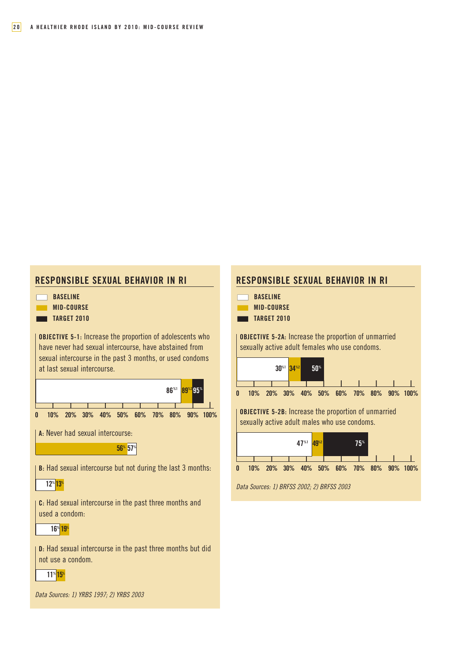### **RESPONSIBLE SEXUAL BEHAVIOR IN RI**

- **BASELINE**
- **MID-COURSE**
- **TARGET 2010**

**OBJECTIVE 5-1:** Increase the proportion of adolescents who have never had sexual intercourse, have abstained from sexual intercourse in the past 3 months, or used condoms at last sexual intercourse.



**A:** Never had sexual intercourse:

**57% 56%**

**B:** Had sexual intercourse but not during the last 3 months:

## **13% 12%**

**C:** Had sexual intercourse in the past three months and used a condom:

**19% 16%**

**D:** Had sexual intercourse in the past three months but did not use a condom.



*Data Sources: 1) YRBS 1997; 2) YRBS 2003*

### **RESPONSIBLE SEXUAL BEHAVIOR IN RI**

- **BASELINE**
	- **MID-COURSE**
- **TARGET 2010**

**OBJECTIVE 5-2A:** Increase the proportion of unmarried sexually active adult females who use condoms.



**OBJECTIVE 5-2B:** Increase the proportion of unmarried sexually active adult males who use condoms.



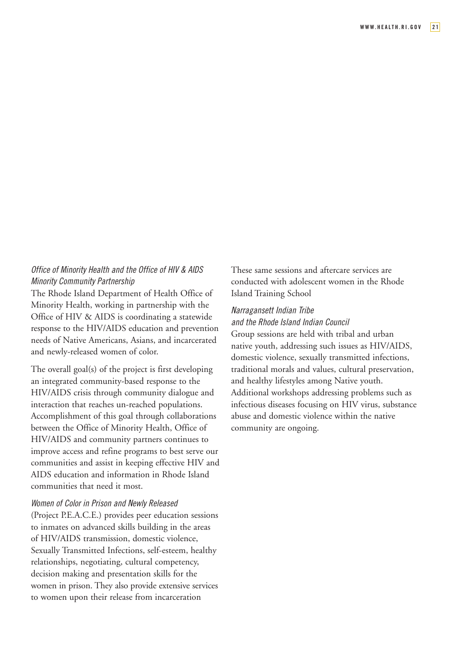## *Office of Minority Health and the Office of HIV & AIDS Minority Community Partnership*

The Rhode Island Department of Health Office of Minority Health, working in partnership with the Office of HIV & AIDS is coordinating a statewide response to the HIV/AIDS education and prevention needs of Native Americans, Asians, and incarcerated and newly-released women of color.

The overall goal(s) of the project is first developing an integrated community-based response to the HIV/AIDS crisis through community dialogue and interaction that reaches un-reached populations. Accomplishment of this goal through collaborations between the Office of Minority Health, Office of HIV/AIDS and community partners continues to improve access and refine programs to best serve our communities and assist in keeping effective HIV and AIDS education and information in Rhode Island communities that need it most.

#### *Women of Color in Prison and Newly Released*

(Project P.E.A.C.E.) provides peer education sessions to inmates on advanced skills building in the areas of HIV/AIDS transmission, domestic violence, Sexually Transmitted Infections, self-esteem, healthy relationships, negotiating, cultural competency, decision making and presentation skills for the women in prison. They also provide extensive services to women upon their release from incarceration

These same sessions and aftercare services are conducted with adolescent women in the Rhode Island Training School

#### *Narragansett Indian Tribe*

*and the Rhode Island Indian Council*

Group sessions are held with tribal and urban native youth, addressing such issues as HIV/AIDS, domestic violence, sexually transmitted infections, traditional morals and values, cultural preservation, and healthy lifestyles among Native youth. Additional workshops addressing problems such as infectious diseases focusing on HIV virus, substance abuse and domestic violence within the native community are ongoing.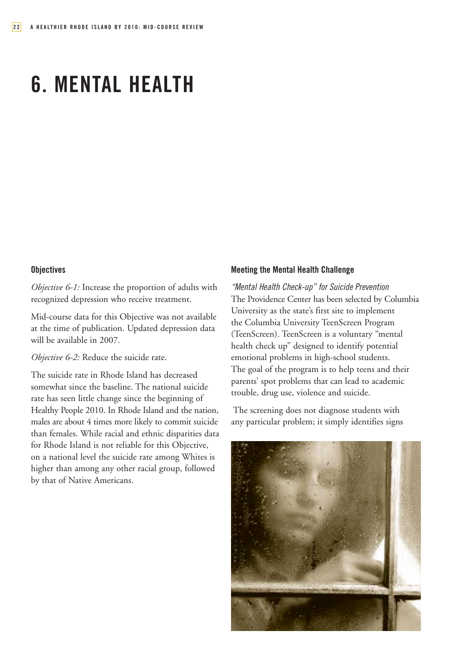## **6. MENTAL HEALTH**

#### **Objectives**

*Objective 6-1:* Increase the proportion of adults with recognized depression who receive treatment.

Mid-course data for this Objective was not available at the time of publication. Updated depression data will be available in 2007.

*Objective 6-2:* Reduce the suicide rate.

The suicide rate in Rhode Island has decreased somewhat since the baseline. The national suicide rate has seen little change since the beginning of Healthy People 2010. In Rhode Island and the nation, males are about 4 times more likely to commit suicide than females. While racial and ethnic disparities data for Rhode Island is not reliable for this Objective, on a national level the suicide rate among Whites is higher than among any other racial group, followed by that of Native Americans.

#### **Meeting the Mental Health Challenge**

*"Mental Health Check-up" for Suicide Prevention*  The Providence Center has been selected by Columbia University as the state's first site to implement the Columbia University TeenScreen Program (TeenScreen). TeenScreen is a voluntary "mental health check up" designed to identify potential emotional problems in high-school students. The goal of the program is to help teens and their parents' spot problems that can lead to academic trouble, drug use, violence and suicide.

The screening does not diagnose students with any particular problem; it simply identifies signs

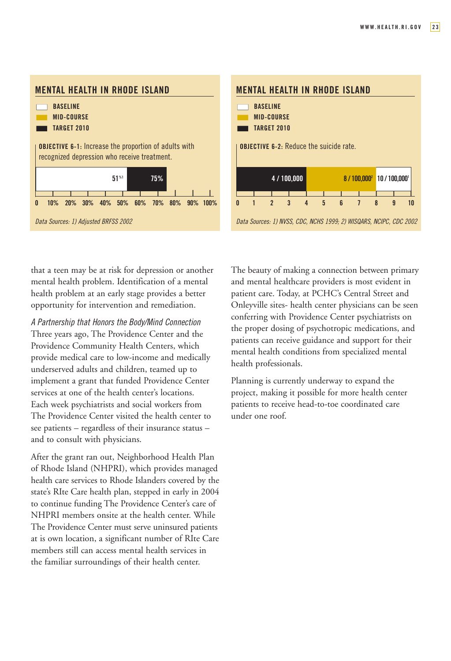

## **MENTAL HEALTH IN RHODE ISLAND**

| I I | <b>BASELINE</b>                                  |
|-----|--------------------------------------------------|
|     | <b>MID-COURSE</b>                                |
|     | <b>TARGET 2010</b>                               |
|     | <b>I OBJECTIVE 6-2:</b> Reduce the suicide rate. |
|     |                                                  |

|   |                                                                    | 4/100.000 |   |   |  | 8/100,000 10/100,000 |  |
|---|--------------------------------------------------------------------|-----------|---|---|--|----------------------|--|
| n |                                                                    |           | 5 | 6 |  |                      |  |
|   | Data Sources: 1) NVSS, CDC, NCHS 1999; 2) WISQARS, NCIPC, CDC 2002 |           |   |   |  |                      |  |

that a teen may be at risk for depression or another mental health problem. Identification of a mental health problem at an early stage provides a better opportunity for intervention and remediation.

*A Partnership that Honors the Body/Mind Connection* Three years ago, The Providence Center and the Providence Community Health Centers, which provide medical care to low-income and medically underserved adults and children, teamed up to implement a grant that funded Providence Center services at one of the health center's locations. Each week psychiatrists and social workers from The Providence Center visited the health center to see patients – regardless of their insurance status – and to consult with physicians.

After the grant ran out, Neighborhood Health Plan of Rhode Island (NHPRI), which provides managed health care services to Rhode Islanders covered by the state's RIte Care health plan, stepped in early in 2004 to continue funding The Providence Center's care of NHPRI members onsite at the health center. While The Providence Center must serve uninsured patients at is own location, a significant number of RIte Care members still can access mental health services in the familiar surroundings of their health center.

The beauty of making a connection between primary and mental healthcare providers is most evident in patient care. Today, at PCHC's Central Street and Onleyville sites- health center physicians can be seen conferring with Providence Center psychiatrists on the proper dosing of psychotropic medications, and patients can receive guidance and support for their mental health conditions from specialized mental health professionals.

Planning is currently underway to expand the project, making it possible for more health center patients to receive head-to-toe coordinated care under one roof.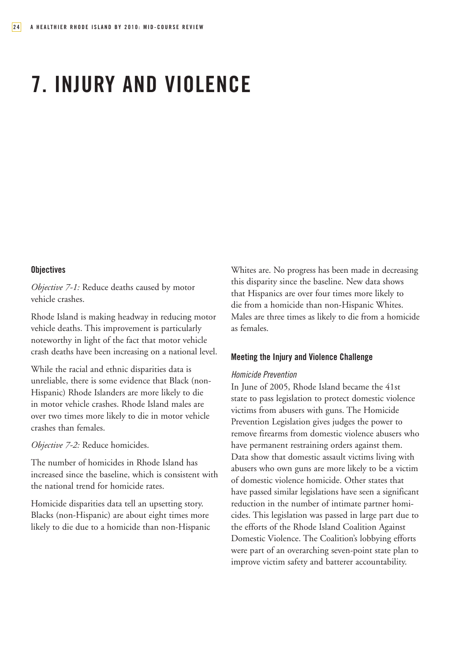## **7. INJURY AND VIOLENCE**

#### **Objectives**

*Objective 7-1:* Reduce deaths caused by motor vehicle crashes.

Rhode Island is making headway in reducing motor vehicle deaths. This improvement is particularly noteworthy in light of the fact that motor vehicle crash deaths have been increasing on a national level.

While the racial and ethnic disparities data is unreliable, there is some evidence that Black (non-Hispanic) Rhode Islanders are more likely to die in motor vehicle crashes. Rhode Island males are over two times more likely to die in motor vehicle crashes than females.

*Objective 7-2:* Reduce homicides.

The number of homicides in Rhode Island has increased since the baseline, which is consistent with the national trend for homicide rates.

Homicide disparities data tell an upsetting story. Blacks (non-Hispanic) are about eight times more likely to die due to a homicide than non-Hispanic Whites are. No progress has been made in decreasing this disparity since the baseline. New data shows that Hispanics are over four times more likely to die from a homicide than non-Hispanic Whites. Males are three times as likely to die from a homicide as females.

#### **Meeting the Injury and Violence Challenge**

#### *Homicide Prevention*

In June of 2005, Rhode Island became the 41st state to pass legislation to protect domestic violence victims from abusers with guns. The Homicide Prevention Legislation gives judges the power to remove firearms from domestic violence abusers who have permanent restraining orders against them. Data show that domestic assault victims living with abusers who own guns are more likely to be a victim of domestic violence homicide. Other states that have passed similar legislations have seen a significant reduction in the number of intimate partner homicides. This legislation was passed in large part due to the efforts of the Rhode Island Coalition Against Domestic Violence. The Coalition's lobbying efforts were part of an overarching seven-point state plan to improve victim safety and batterer accountability.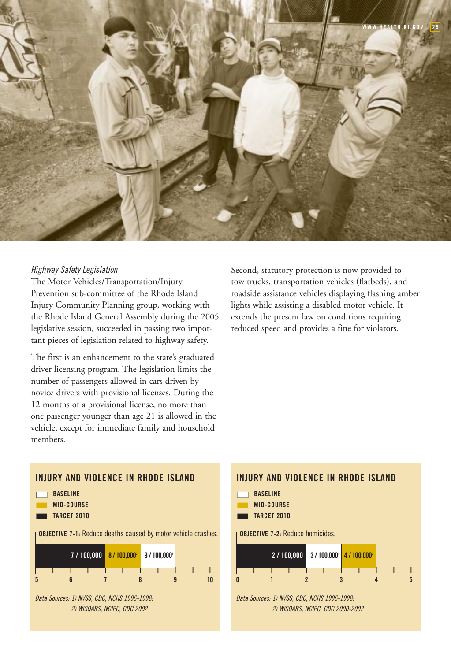

#### *Highway Safety Legislation*

The Motor Vehicles/Transportation/Injury Prevention sub-committee of the Rhode Island Injury Community Planning group, working with the Rhode Island General Assembly during the 2005 legislative session, succeeded in passing two important pieces of legislation related to highway safety.

The first is an enhancement to the state's graduated driver licensing program. The legislation limits the number of passengers allowed in cars driven by novice drivers with provisional licenses. During the 12 months of a provisional license, no more than one passenger younger than age 21 is allowed in the vehicle, except for immediate family and household members.

Second, statutory protection is now provided to tow trucks, transportation vehicles (flatbeds), and roadside assistance vehicles displaying flashing amber lights while assisting a disabled motor vehicle. It extends the present law on conditions requiring reduced speed and provides a fine for violators.

## **INJURY AND VIOLENCE IN RHODE ISLAND**

| <b>BASELINE</b> |
|-----------------|

- **MID-COURSE**
- **TARGET 2010**





## **INJURY AND VIOLENCE IN RHODE ISLAND**

- **BASELINE**
- **MID-COURSE**
- **TARGET 2010**

**OBJECTIVE 7-2:** Reduce homicides.



*Data Sources: 1) NVSS, CDC, NCHS 1996-1998; 2) WISQARS, NCIPC, CDC 2000-2002*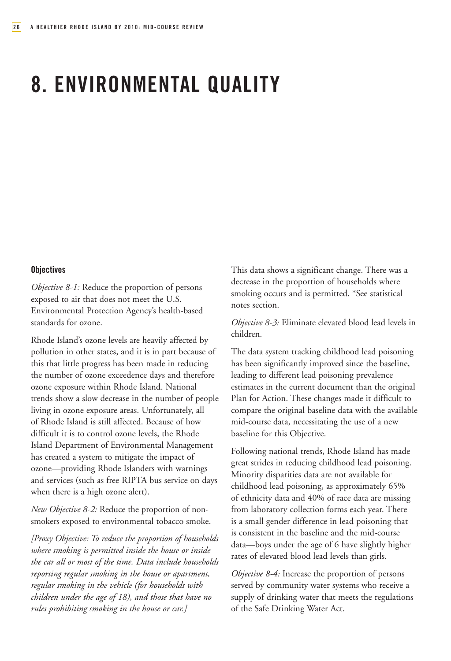## **8. ENVIRONMENTAL QUALITY**

#### **Objectives**

*Objective 8-1:* Reduce the proportion of persons exposed to air that does not meet the U.S. Environmental Protection Agency's health-based standards for ozone.

Rhode Island's ozone levels are heavily affected by pollution in other states, and it is in part because of this that little progress has been made in reducing the number of ozone exceedence days and therefore ozone exposure within Rhode Island. National trends show a slow decrease in the number of people living in ozone exposure areas. Unfortunately, all of Rhode Island is still affected. Because of how difficult it is to control ozone levels, the Rhode Island Department of Environmental Management has created a system to mitigate the impact of ozone—providing Rhode Islanders with warnings and services (such as free RIPTA bus service on days when there is a high ozone alert).

*New Objective 8-2:* Reduce the proportion of nonsmokers exposed to environmental tobacco smoke.

*[Proxy Objective: To reduce the proportion of households where smoking is permitted inside the house or inside the car all or most of the time. Data include households reporting regular smoking in the house or apartment, regular smoking in the vehicle (for households with children under the age of 18), and those that have no rules prohibiting smoking in the house or car.]*

This data shows a significant change. There was a decrease in the proportion of households where smoking occurs and is permitted. \*See statistical notes section.

*Objective 8-3:* Eliminate elevated blood lead levels in children.

The data system tracking childhood lead poisoning has been significantly improved since the baseline, leading to different lead poisoning prevalence estimates in the current document than the original Plan for Action. These changes made it difficult to compare the original baseline data with the available mid-course data, necessitating the use of a new baseline for this Objective.

Following national trends, Rhode Island has made great strides in reducing childhood lead poisoning. Minority disparities data are not available for childhood lead poisoning, as approximately 65% of ethnicity data and 40% of race data are missing from laboratory collection forms each year. There is a small gender difference in lead poisoning that is consistent in the baseline and the mid-course data—boys under the age of 6 have slightly higher rates of elevated blood lead levels than girls.

*Objective 8-4:* Increase the proportion of persons served by community water systems who receive a supply of drinking water that meets the regulations of the Safe Drinking Water Act.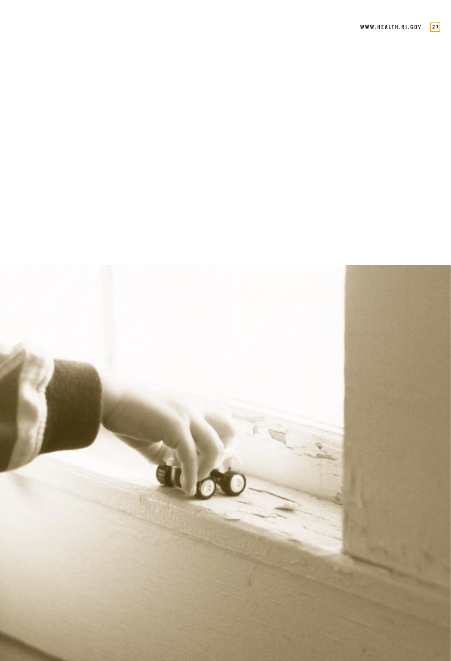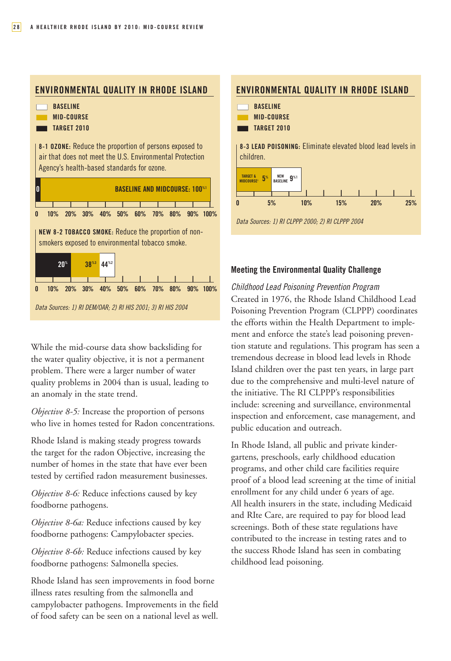

While the mid-course data show backsliding for the water quality objective, it is not a permanent problem. There were a larger number of water quality problems in 2004 than is usual, leading to an anomaly in the state trend.

*Objective 8-5:* Increase the proportion of persons who live in homes tested for Radon concentrations.

Rhode Island is making steady progress towards the target for the radon Objective, increasing the number of homes in the state that have ever been tested by certified radon measurement businesses.

*Objective 8-6:* Reduce infections caused by key foodborne pathogens.

*Objective 8-6a:* Reduce infections caused by key foodborne pathogens: Campylobacter species.

*Objective 8-6b:* Reduce infections caused by key foodborne pathogens: Salmonella species.

Rhode Island has seen improvements in food borne illness rates resulting from the salmonella and campylobacter pathogens. Improvements in the field of food safety can be seen on a national level as well.

### **ENVIRONMENTAL QUALITY IN RHODE ISLAND**

| 1. H | <b>BASELINE</b>   |
|------|-------------------|
|      | <b>MID-COURSE</b> |
|      | TARGET 2010       |

**8-3 LEAD POISONING:** Eliminate elevated blood lead levels in children.



#### **Meeting the Environmental Quality Challenge**

*Childhood Lead Poisoning Prevention Program* Created in 1976, the Rhode Island Childhood Lead Poisoning Prevention Program (CLPPP) coordinates the efforts within the Health Department to implement and enforce the state's lead poisoning prevention statute and regulations. This program has seen a tremendous decrease in blood lead levels in Rhode Island children over the past ten years, in large part due to the comprehensive and multi-level nature of the initiative. The RI CLPPP's responsibilities include: screening and surveillance, environmental inspection and enforcement, case management, and public education and outreach.

In Rhode Island, all public and private kindergartens, preschools, early childhood education programs, and other child care facilities require proof of a blood lead screening at the time of initial enrollment for any child under 6 years of age. All health insurers in the state, including Medicaid and RIte Care, are required to pay for blood lead screenings. Both of these state regulations have contributed to the increase in testing rates and to the success Rhode Island has seen in combating childhood lead poisoning.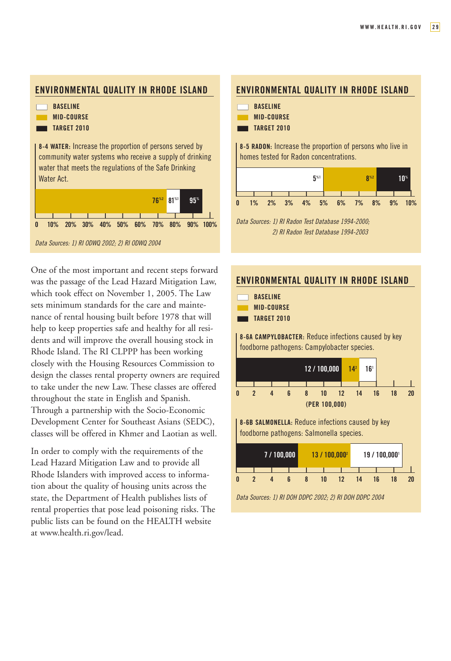## **ENVIRONMENTAL QUALITY IN RHODE ISLAND**



- **MID-COURSE**
- **TARGET 2010**

**8-4 WATER:** Increase the proportion of persons served by community water systems who receive a supply of drinking water that meets the regulations of the Safe Drinking Water Act.



One of the most important and recent steps forward was the passage of the Lead Hazard Mitigation Law, which took effect on November 1, 2005. The Law sets minimum standards for the care and maintenance of rental housing built before 1978 that will help to keep properties safe and healthy for all residents and will improve the overall housing stock in Rhode Island. The RI CLPPP has been working closely with the Housing Resources Commission to design the classes rental property owners are required to take under the new Law. These classes are offered throughout the state in English and Spanish. Through a partnership with the Socio-Economic Development Center for Southeast Asians (SEDC), classes will be offered in Khmer and Laotian as well.

In order to comply with the requirements of the Lead Hazard Mitigation Law and to provide all Rhode Islanders with improved access to information about the quality of housing units across the state, the Department of Health publishes lists of rental properties that pose lead poisoning risks. The public lists can be found on the HEALTH website at www.health.ri.gov/lead.

### **ENVIRONMENTAL QUALITY IN RHODE ISLAND**

| <b>The Contract State</b> | <b>BASELINE</b> |
|---------------------------|-----------------|
|                           | MID-COURSE      |

- 
- **TARGET 2010**

**8-5 RADON:** Increase the proportion of persons who live in homes tested for Radon concentrations.



*Data Sources: 1) RI Radon Test Database 1994-2000; 2) RI Radon Test Database 1994-2003*

### **ENVIRONMENTAL QUALITY IN RHODE ISLAND**

- **BASELINE**
- **MID-COURSE**
- **TARGET 2010**

**8-6A CAMPYLOBACTER:** Reduce infections caused by key foodborne pathogens: Campylobacter species.



**8-6B SALMONELLA:** Reduce infections caused by key foodborne pathogens: Salmonella species.



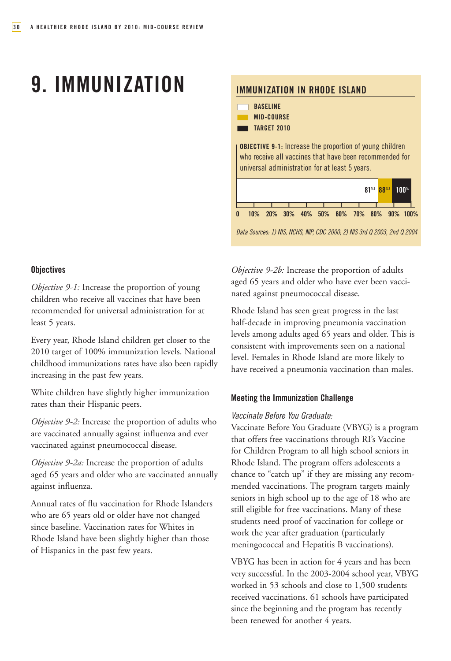## **9. IMMUNIZATION** IMMUNIZATION IN RHODE ISLAND

| 1. H | <b>BASELINE</b>   |
|------|-------------------|
|      | <b>MID-COURSE</b> |
|      | TARGET 2010       |

**OBJECTIVE 9-1:** Increase the proportion of young children who receive all vaccines that have been recommended for universal administration for at least 5 years.



*Data Sources: 1) NIS, NCHS, NIP, CDC 2000; 2) NIS 3rd Q 2003, 2nd Q 2004*

#### **Objectives**

*Objective 9-1:* Increase the proportion of young children who receive all vaccines that have been recommended for universal administration for at least 5 years.

Every year, Rhode Island children get closer to the 2010 target of 100% immunization levels. National childhood immunizations rates have also been rapidly increasing in the past few years.

White children have slightly higher immunization rates than their Hispanic peers.

*Objective 9-2:* Increase the proportion of adults who are vaccinated annually against influenza and ever vaccinated against pneumococcal disease.

*Objective 9-2a:* Increase the proportion of adults aged 65 years and older who are vaccinated annually against influenza.

Annual rates of flu vaccination for Rhode Islanders who are 65 years old or older have not changed since baseline. Vaccination rates for Whites in Rhode Island have been slightly higher than those of Hispanics in the past few years.

*Objective 9-2b:* Increase the proportion of adults aged 65 years and older who have ever been vaccinated against pneumococcal disease.

Rhode Island has seen great progress in the last half-decade in improving pneumonia vaccination levels among adults aged 65 years and older. This is consistent with improvements seen on a national level. Females in Rhode Island are more likely to have received a pneumonia vaccination than males.

#### **Meeting the Immunization Challenge**

#### *Vaccinate Before You Graduate:*

Vaccinate Before You Graduate (VBYG) is a program that offers free vaccinations through RI's Vaccine for Children Program to all high school seniors in Rhode Island. The program offers adolescents a chance to "catch up" if they are missing any recommended vaccinations. The program targets mainly seniors in high school up to the age of 18 who are still eligible for free vaccinations. Many of these students need proof of vaccination for college or work the year after graduation (particularly meningococcal and Hepatitis B vaccinations).

VBYG has been in action for 4 years and has been very successful. In the 2003-2004 school year, VBYG worked in 53 schools and close to 1,500 students received vaccinations. 61 schools have participated since the beginning and the program has recently been renewed for another 4 years.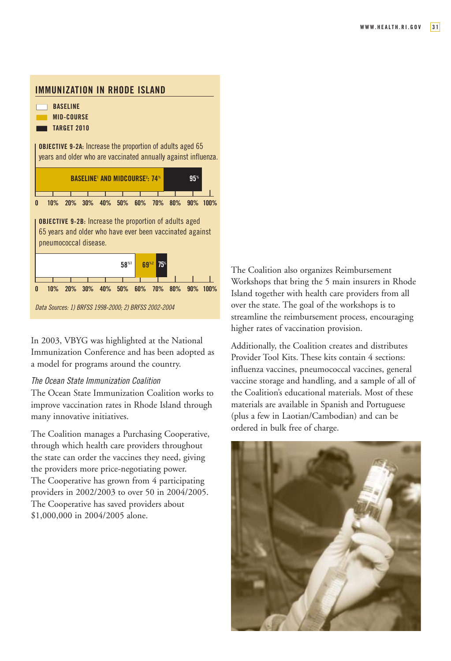

In 2003, VBYG was highlighted at the National Immunization Conference and has been adopted as a model for programs around the country.

#### *The Ocean State Immunization Coalition*

The Ocean State Immunization Coalition works to improve vaccination rates in Rhode Island through many innovative initiatives.

The Coalition manages a Purchasing Cooperative, through which health care providers throughout the state can order the vaccines they need, giving the providers more price-negotiating power. The Cooperative has grown from 4 participating providers in 2002/2003 to over 50 in 2004/2005. The Cooperative has saved providers about \$1,000,000 in 2004/2005 alone.

The Coalition also organizes Reimbursement Workshops that bring the 5 main insurers in Rhode Island together with health care providers from all over the state. The goal of the workshops is to streamline the reimbursement process, encouraging higher rates of vaccination provision.

Additionally, the Coalition creates and distributes Provider Tool Kits. These kits contain 4 sections: influenza vaccines, pneumococcal vaccines, general vaccine storage and handling, and a sample of all of the Coalition's educational materials. Most of these materials are available in Spanish and Portuguese (plus a few in Laotian/Cambodian) and can be ordered in bulk free of charge.

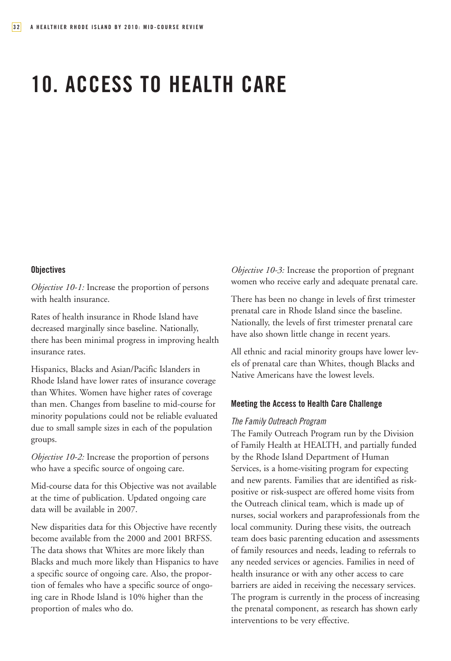## **10. ACCESS TO HEALTH CARE**

#### **Objectives**

*Objective 10-1:* Increase the proportion of persons with health insurance.

Rates of health insurance in Rhode Island have decreased marginally since baseline. Nationally, there has been minimal progress in improving health insurance rates.

Hispanics, Blacks and Asian/Pacific Islanders in Rhode Island have lower rates of insurance coverage than Whites. Women have higher rates of coverage than men. Changes from baseline to mid-course for minority populations could not be reliable evaluated due to small sample sizes in each of the population groups.

*Objective 10-2:* Increase the proportion of persons who have a specific source of ongoing care.

Mid-course data for this Objective was not available at the time of publication. Updated ongoing care data will be available in 2007.

New disparities data for this Objective have recently become available from the 2000 and 2001 BRFSS. The data shows that Whites are more likely than Blacks and much more likely than Hispanics to have a specific source of ongoing care. Also, the proportion of females who have a specific source of ongoing care in Rhode Island is 10% higher than the proportion of males who do.

*Objective 10-3:* Increase the proportion of pregnant women who receive early and adequate prenatal care.

There has been no change in levels of first trimester prenatal care in Rhode Island since the baseline. Nationally, the levels of first trimester prenatal care have also shown little change in recent years.

All ethnic and racial minority groups have lower levels of prenatal care than Whites, though Blacks and Native Americans have the lowest levels.

#### **Meeting the Access to Health Care Challenge**

#### *The Family Outreach Program*

The Family Outreach Program run by the Division of Family Health at HEALTH, and partially funded by the Rhode Island Department of Human Services, is a home-visiting program for expecting and new parents. Families that are identified as riskpositive or risk-suspect are offered home visits from the Outreach clinical team, which is made up of nurses, social workers and paraprofessionals from the local community. During these visits, the outreach team does basic parenting education and assessments of family resources and needs, leading to referrals to any needed services or agencies. Families in need of health insurance or with any other access to care barriers are aided in receiving the necessary services. The program is currently in the process of increasing the prenatal component, as research has shown early interventions to be very effective.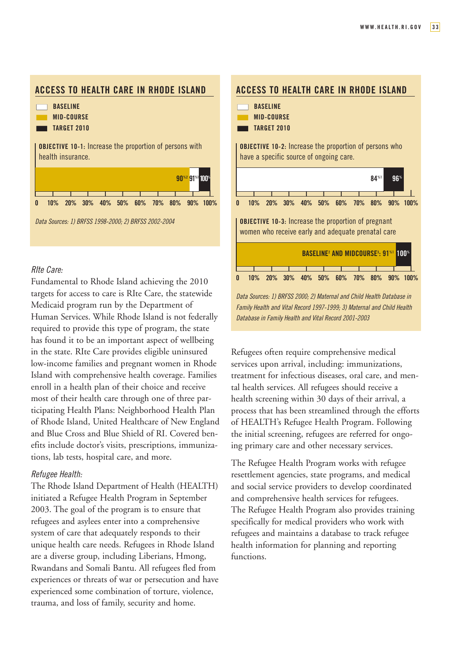## **ACCESS TO HEALTH CARE IN RHODE ISLAND**

- **BASELINE**
- **MID-COURSE**
- **TARGET 2010**

**OBJECTIVE 10-1:** Increase the proportion of persons with health insurance.



*Data Sources: 1) BRFSS 1998-2000; 2) BRFSS 2002-2004*

#### *RIte Care:*

Fundamental to Rhode Island achieving the 2010 targets for access to care is RIte Care, the statewide Medicaid program run by the Department of Human Services. While Rhode Island is not federally required to provide this type of program, the state has found it to be an important aspect of wellbeing in the state. RIte Care provides eligible uninsured low-income families and pregnant women in Rhode Island with comprehensive health coverage. Families enroll in a health plan of their choice and receive most of their health care through one of three participating Health Plans: Neighborhood Health Plan of Rhode Island, United Healthcare of New England and Blue Cross and Blue Shield of RI. Covered benefits include doctor's visits, prescriptions, immunizations, lab tests, hospital care, and more.

#### *Refugee Health:*

The Rhode Island Department of Health (HEALTH) initiated a Refugee Health Program in September 2003. The goal of the program is to ensure that refugees and asylees enter into a comprehensive system of care that adequately responds to their unique health care needs. Refugees in Rhode Island are a diverse group, including Liberians, Hmong, Rwandans and Somali Bantu. All refugees fled from experiences or threats of war or persecution and have experienced some combination of torture, violence, trauma, and loss of family, security and home.

### **ACCESS TO HEALTH CARE IN RHODE ISLAND**

| 1. H | <b>BASELINE</b>   |
|------|-------------------|
|      | <b>MID-COURSE</b> |
| . .  | TARGET 2010       |

**OBJECTIVE 10-2:** Increase the proportion of persons who have a specific source of ongoing care.



Refugees often require comprehensive medical services upon arrival, including: immunizations, treatment for infectious diseases, oral care, and mental health services. All refugees should receive a health screening within 30 days of their arrival, a process that has been streamlined through the efforts of HEALTH's Refugee Health Program. Following the initial screening, refugees are referred for ongoing primary care and other necessary services.

The Refugee Health Program works with refugee resettlement agencies, state programs, and medical and social service providers to develop coordinated and comprehensive health services for refugees. The Refugee Health Program also provides training specifically for medical providers who work with refugees and maintains a database to track refugee health information for planning and reporting functions.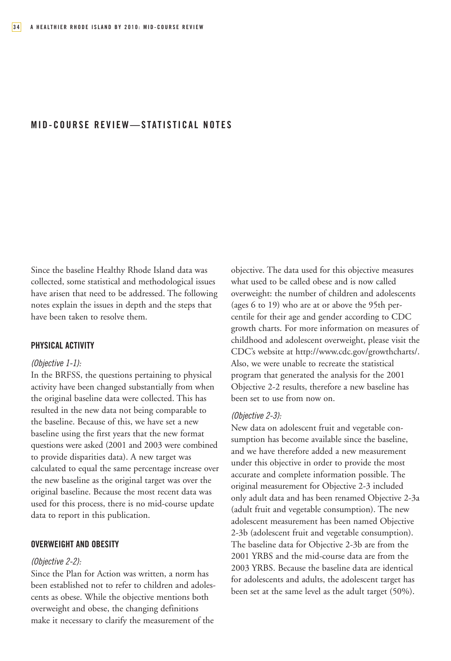## **MID-COURSE REVIEW—STATISTICAL NOTES**

Since the baseline Healthy Rhode Island data was collected, some statistical and methodological issues have arisen that need to be addressed. The following notes explain the issues in depth and the steps that have been taken to resolve them.

#### **PHYSICAL ACTIVITY**

#### *(Objective 1-1):*

In the BRFSS, the questions pertaining to physical activity have been changed substantially from when the original baseline data were collected. This has resulted in the new data not being comparable to the baseline. Because of this, we have set a new baseline using the first years that the new format questions were asked (2001 and 2003 were combined to provide disparities data). A new target was calculated to equal the same percentage increase over the new baseline as the original target was over the original baseline. Because the most recent data was used for this process, there is no mid-course update data to report in this publication.

#### **OVERWEIGHT AND OBESITY**

#### *(Objective 2-2):*

Since the Plan for Action was written, a norm has been established not to refer to children and adolescents as obese. While the objective mentions both overweight and obese, the changing definitions make it necessary to clarify the measurement of the

objective. The data used for this objective measures what used to be called obese and is now called overweight: the number of children and adolescents (ages 6 to 19) who are at or above the 95th percentile for their age and gender according to CDC growth charts. For more information on measures of childhood and adolescent overweight, please visit the CDC's website at http://www.cdc.gov/growthcharts/. Also, we were unable to recreate the statistical program that generated the analysis for the 2001 Objective 2-2 results, therefore a new baseline has been set to use from now on.

#### *(Objective 2-3):*

New data on adolescent fruit and vegetable consumption has become available since the baseline, and we have therefore added a new measurement under this objective in order to provide the most accurate and complete information possible. The original measurement for Objective 2-3 included only adult data and has been renamed Objective 2-3a (adult fruit and vegetable consumption). The new adolescent measurement has been named Objective 2-3b (adolescent fruit and vegetable consumption). The baseline data for Objective 2-3b are from the 2001 YRBS and the mid-course data are from the 2003 YRBS. Because the baseline data are identical for adolescents and adults, the adolescent target has been set at the same level as the adult target (50%).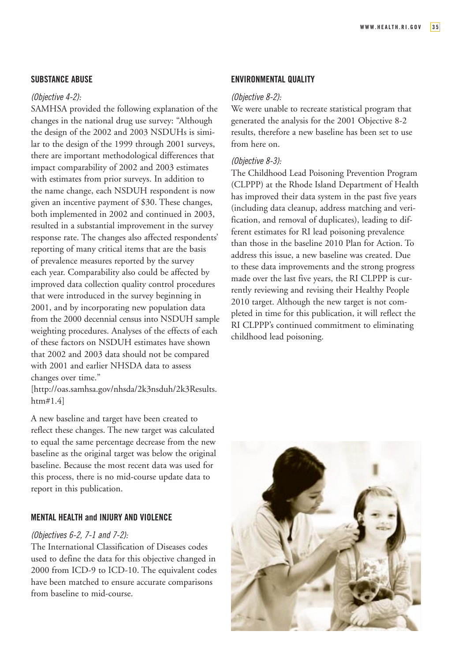#### **SUBSTANCE ABUSE**

#### *(Objective 4-2):*

SAMHSA provided the following explanation of the changes in the national drug use survey: "Although the design of the 2002 and 2003 NSDUHs is similar to the design of the 1999 through 2001 surveys, there are important methodological differences that impact comparability of 2002 and 2003 estimates with estimates from prior surveys. In addition to the name change, each NSDUH respondent is now given an incentive payment of \$30. These changes, both implemented in 2002 and continued in 2003, resulted in a substantial improvement in the survey response rate. The changes also affected respondents' reporting of many critical items that are the basis of prevalence measures reported by the survey each year. Comparability also could be affected by improved data collection quality control procedures that were introduced in the survey beginning in 2001, and by incorporating new population data from the 2000 decennial census into NSDUH sample weighting procedures. Analyses of the effects of each of these factors on NSDUH estimates have shown that 2002 and 2003 data should not be compared with 2001 and earlier NHSDA data to assess changes over time."

[http://oas.samhsa.gov/nhsda/2k3nsduh/2k3Results. htm#1.4]

A new baseline and target have been created to reflect these changes. The new target was calculated to equal the same percentage decrease from the new baseline as the original target was below the original baseline. Because the most recent data was used for this process, there is no mid-course update data to report in this publication.

#### **MENTAL HEALTH and INJURY AND VIOLENCE**

#### *(Objectives 6-2, 7-1 and 7-2):*

The International Classification of Diseases codes used to define the data for this objective changed in 2000 from ICD-9 to ICD-10. The equivalent codes have been matched to ensure accurate comparisons from baseline to mid-course.

#### **ENVIRONMENTAL QUALITY**

#### *(Objective 8-2):*

We were unable to recreate statistical program that generated the analysis for the 2001 Objective 8-2 results, therefore a new baseline has been set to use from here on.

#### *(Objective 8-3):*

The Childhood Lead Poisoning Prevention Program (CLPPP) at the Rhode Island Department of Health has improved their data system in the past five years (including data cleanup, address matching and verification, and removal of duplicates), leading to different estimates for RI lead poisoning prevalence than those in the baseline 2010 Plan for Action. To address this issue, a new baseline was created. Due to these data improvements and the strong progress made over the last five years, the RI CLPPP is currently reviewing and revising their Healthy People 2010 target. Although the new target is not completed in time for this publication, it will reflect the RI CLPPP's continued commitment to eliminating childhood lead poisoning.